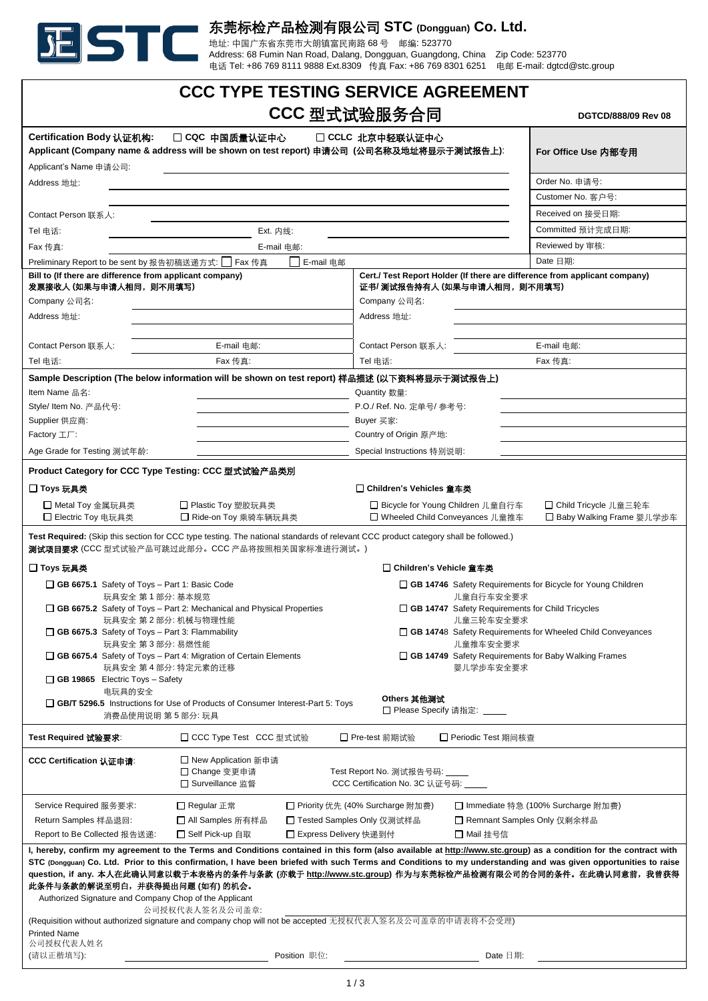

# 东莞标检产品检测有限公司 **STC (Dongguan) Co. Ltd.**

地址: 中国广东省东莞市大朗镇富民南路 68 号 邮编: 523770

Address: 68 Fumin Nan Road, Dalang, Dongguan, Guangdong, China Zip Code: 523770 电话 Tel: +86 769 8111 9888 Ext.8309 传真 Fax: +86 769 8301 6251 电邮 E-mail: dgtcd@stc.group

|                                                                                                                                                                                                                                                                                                                                                                                                                                                                                                                                                                                                                                                                        | <b>CCC TYPE TESTING SERVICE AGREEMENT</b>                                                                                                                                            |                                                                        |                                                              |                                                                            |
|------------------------------------------------------------------------------------------------------------------------------------------------------------------------------------------------------------------------------------------------------------------------------------------------------------------------------------------------------------------------------------------------------------------------------------------------------------------------------------------------------------------------------------------------------------------------------------------------------------------------------------------------------------------------|--------------------------------------------------------------------------------------------------------------------------------------------------------------------------------------|------------------------------------------------------------------------|--------------------------------------------------------------|----------------------------------------------------------------------------|
|                                                                                                                                                                                                                                                                                                                                                                                                                                                                                                                                                                                                                                                                        |                                                                                                                                                                                      | CCC 型式试验服务合同                                                           |                                                              | DGTCD/888/09 Rev 08                                                        |
| Certification Body 认证机构:<br>□ CQC 中国质量认证中心<br>□ CCLC 北京中轻联认证中心<br>Applicant (Company name & address will be shown on test report) 申请公司(公司名称及地址将显示于测试报告上):                                                                                                                                                                                                                                                                                                                                                                                                                                                                                                              |                                                                                                                                                                                      |                                                                        |                                                              | For Office Use 内部专用                                                        |
| Applicant's Name 申请公司:                                                                                                                                                                                                                                                                                                                                                                                                                                                                                                                                                                                                                                                 |                                                                                                                                                                                      |                                                                        |                                                              | Order No. 申请号:                                                             |
| Address 地址:                                                                                                                                                                                                                                                                                                                                                                                                                                                                                                                                                                                                                                                            |                                                                                                                                                                                      |                                                                        |                                                              | Customer No. 客户号:                                                          |
|                                                                                                                                                                                                                                                                                                                                                                                                                                                                                                                                                                                                                                                                        |                                                                                                                                                                                      |                                                                        |                                                              | Received on 接受日期:                                                          |
| Contact Person 联系人:                                                                                                                                                                                                                                                                                                                                                                                                                                                                                                                                                                                                                                                    |                                                                                                                                                                                      |                                                                        |                                                              |                                                                            |
| Ext. 内线:<br>Tel 电话:                                                                                                                                                                                                                                                                                                                                                                                                                                                                                                                                                                                                                                                    |                                                                                                                                                                                      |                                                                        | Committed 预计完成日期:                                            |                                                                            |
| Fax 传真:<br>E-mail 电邮:                                                                                                                                                                                                                                                                                                                                                                                                                                                                                                                                                                                                                                                  |                                                                                                                                                                                      |                                                                        | Reviewed by 审核:                                              |                                                                            |
| Preliminary Report to be sent by 报告初稿送递方式: □ Fax 传真                                                                                                                                                                                                                                                                                                                                                                                                                                                                                                                                                                                                                    | E-mail 电邮                                                                                                                                                                            |                                                                        |                                                              | Date 日期:                                                                   |
| Bill to (If there are difference from applicant company)<br>发票接收人 (如果与申请人相同, 则不用填写)<br>Company 公司名:                                                                                                                                                                                                                                                                                                                                                                                                                                                                                                                                                                    |                                                                                                                                                                                      | 证书/ 测试报告持有人 (如果与申请人相同, 则不用填写)<br>Company 公司名:                          |                                                              | Cert./ Test Report Holder (If there are difference from applicant company) |
| Address 地址:                                                                                                                                                                                                                                                                                                                                                                                                                                                                                                                                                                                                                                                            |                                                                                                                                                                                      | Address 地址:                                                            |                                                              |                                                                            |
|                                                                                                                                                                                                                                                                                                                                                                                                                                                                                                                                                                                                                                                                        |                                                                                                                                                                                      |                                                                        |                                                              |                                                                            |
| Contact Person 联系人:                                                                                                                                                                                                                                                                                                                                                                                                                                                                                                                                                                                                                                                    | E-mail 电邮:                                                                                                                                                                           | Contact Person 联系人:                                                    |                                                              | E-mail 电邮:                                                                 |
| Tel 电话:                                                                                                                                                                                                                                                                                                                                                                                                                                                                                                                                                                                                                                                                | Fax 传真:                                                                                                                                                                              | Tel 电话:                                                                |                                                              | Fax 传真:                                                                    |
|                                                                                                                                                                                                                                                                                                                                                                                                                                                                                                                                                                                                                                                                        | Sample Description (The below information will be shown on test report) 样品描述 (以下资料将显示于测试报告上)                                                                                         |                                                                        |                                                              |                                                                            |
| Item Name 品名:                                                                                                                                                                                                                                                                                                                                                                                                                                                                                                                                                                                                                                                          |                                                                                                                                                                                      | Quantity 数量:                                                           |                                                              |                                                                            |
| Style/ Item No. 产品代号:                                                                                                                                                                                                                                                                                                                                                                                                                                                                                                                                                                                                                                                  |                                                                                                                                                                                      | P.O./ Ref. No. 定单号/ 参考号:                                               |                                                              |                                                                            |
| Supplier 供应商:                                                                                                                                                                                                                                                                                                                                                                                                                                                                                                                                                                                                                                                          |                                                                                                                                                                                      | Buyer 买家:                                                              |                                                              |                                                                            |
| Factory $LT$ :                                                                                                                                                                                                                                                                                                                                                                                                                                                                                                                                                                                                                                                         |                                                                                                                                                                                      | Country of Origin 原产地:                                                 |                                                              |                                                                            |
| Age Grade for Testing 测试年龄:                                                                                                                                                                                                                                                                                                                                                                                                                                                                                                                                                                                                                                            |                                                                                                                                                                                      | Special Instructions 特别说明:                                             |                                                              |                                                                            |
| Product Category for CCC Type Testing: CCC 型式试验产品类別                                                                                                                                                                                                                                                                                                                                                                                                                                                                                                                                                                                                                    |                                                                                                                                                                                      |                                                                        |                                                              |                                                                            |
| □ Toys 玩具类                                                                                                                                                                                                                                                                                                                                                                                                                                                                                                                                                                                                                                                             |                                                                                                                                                                                      | □ Children's Vehicles 童车类                                              |                                                              |                                                                            |
| □ Metal Toy 金属玩具类<br>□ Electric Toy 电玩具类                                                                                                                                                                                                                                                                                                                                                                                                                                                                                                                                                                                                                               | □ Plastic Toy 塑胶玩具类<br>□ Ride-on Toy 乘骑车辆玩具类                                                                                                                                         | □ Bicycle for Young Children 儿童自行车<br>□ Wheeled Child Conveyances 儿童推车 |                                                              | □ Child Tricycle 儿童三轮车<br>□ Baby Walking Frame 婴儿学步车                       |
|                                                                                                                                                                                                                                                                                                                                                                                                                                                                                                                                                                                                                                                                        | Test Required: (Skip this section for CCC type testing. The national standards of relevant CCC product category shall be followed.)<br>测试项目要求(CCC 型式试验产品可跳过此部分。CCC 产品将按照相关国家标准进行测试。) |                                                                        |                                                              |                                                                            |
| □ Toys 玩具类                                                                                                                                                                                                                                                                                                                                                                                                                                                                                                                                                                                                                                                             |                                                                                                                                                                                      | □ Children's Vehicle 童车类                                               |                                                              |                                                                            |
| GB 6675.1 Safety of Toys - Part 1: Basic Code                                                                                                                                                                                                                                                                                                                                                                                                                                                                                                                                                                                                                          |                                                                                                                                                                                      |                                                                        |                                                              | □ GB 14746 Safety Requirements for Bicycle for Young Children              |
| 玩具安全 第1部分: 基本规范                                                                                                                                                                                                                                                                                                                                                                                                                                                                                                                                                                                                                                                        |                                                                                                                                                                                      |                                                                        | 儿童自行车安全要求                                                    |                                                                            |
| $\Box$ GB 6675.2 Safety of Toys – Part 2: Mechanical and Physical Properties<br>□ GB 14747 Safety Requirements for Child Tricycles                                                                                                                                                                                                                                                                                                                                                                                                                                                                                                                                     |                                                                                                                                                                                      |                                                                        |                                                              |                                                                            |
| 玩具安全 第2部分: 机械与物理性能<br>儿童三轮车安全要求<br>GB 6675.3 Safety of Toys - Part 3: Flammability<br>玩具安全 第3部分:易燃性能                                                                                                                                                                                                                                                                                                                                                                                                                                                                                                                                                                   |                                                                                                                                                                                      | 儿童推车安全要求                                                               | □ GB 14748 Safety Requirements for Wheeled Child Conveyances |                                                                            |
|                                                                                                                                                                                                                                                                                                                                                                                                                                                                                                                                                                                                                                                                        | $\Box$ GB 6675.4 Safety of Toys – Part 4: Migration of Certain Elements                                                                                                              |                                                                        |                                                              | GB 14749 Safety Requirements for Baby Walking Frames                       |
| 玩具安全 第4部分: 特定元素的迁移                                                                                                                                                                                                                                                                                                                                                                                                                                                                                                                                                                                                                                                     |                                                                                                                                                                                      |                                                                        | 婴儿学步车安全要求                                                    |                                                                            |
| $\Box$ GB 19865 Electric Toys - Safety                                                                                                                                                                                                                                                                                                                                                                                                                                                                                                                                                                                                                                 |                                                                                                                                                                                      |                                                                        |                                                              |                                                                            |
| 电玩具的安全                                                                                                                                                                                                                                                                                                                                                                                                                                                                                                                                                                                                                                                                 | □ GB/T 5296.5 Instructions for Use of Products of Consumer Interest-Part 5: Toys                                                                                                     | Others 其他测试                                                            |                                                              |                                                                            |
| 消费品使用说明 第5部分:玩具                                                                                                                                                                                                                                                                                                                                                                                                                                                                                                                                                                                                                                                        |                                                                                                                                                                                      | □ Please Specify 请指定:                                                  |                                                              |                                                                            |
| Test Required 试验要求:                                                                                                                                                                                                                                                                                                                                                                                                                                                                                                                                                                                                                                                    | □ CCC Type Test CCC 型式试验                                                                                                                                                             | □ Pre-test 前期试验                                                        | □ Periodic Test 期间核查                                         |                                                                            |
| CCC Certification 认证申请:                                                                                                                                                                                                                                                                                                                                                                                                                                                                                                                                                                                                                                                | □ New Application 新申请<br>□ Change 变更申请<br>□ Surveillance 监督                                                                                                                          | Test Report No. 测试报告号码:<br>CCC Certification No. 3C 认证号码:              |                                                              |                                                                            |
| Service Required 服务要求:                                                                                                                                                                                                                                                                                                                                                                                                                                                                                                                                                                                                                                                 | □ Regular 正常                                                                                                                                                                         | □ Priority 优先 (40% Surcharge 附加费)                                      |                                                              | □ Immediate 特急 (100% Surcharge 附加费)                                        |
| Return Samples 样品退回:                                                                                                                                                                                                                                                                                                                                                                                                                                                                                                                                                                                                                                                   | □ All Samples 所有样品                                                                                                                                                                   | □ Tested Samples Only 仅测试样品                                            |                                                              | □ Remnant Samples Only 仅剩余样品                                               |
| Report to Be Collected 报告送递:                                                                                                                                                                                                                                                                                                                                                                                                                                                                                                                                                                                                                                           | □ Self Pick-up 自取                                                                                                                                                                    | □ Express Delivery 快递到付                                                | □ Mail 挂号信                                                   |                                                                            |
| I, hereby, confirm my agreement to the Terms and Conditions contained in this form (also available at http://www.stc.group) as a condition for the contract with<br>STC (Dongguan) Co. Ltd. Prior to this confirmation, I have been briefed with such Terms and Conditions to my understanding and was given opportunities to raise<br>question, if any. 本人在此确认同意以载于本表格内的条件与条款 (亦载于 http://www.stc.group) 作为与东莞标检产品检测有限公司的合同的条件。在此确认同意前,我曾获得<br>此条件与条款的解说至明白,并获得提出问题 (如有) 的机会。<br>Authorized Signature and Company Chop of the Applicant<br>公司授权代表人签名及公司盖章:<br>(Requisition without authorized signature and company chop will not be accepted 无授权代表人签名及公司盖章的申请表将不会受理) |                                                                                                                                                                                      |                                                                        |                                                              |                                                                            |
| <b>Printed Name</b>                                                                                                                                                                                                                                                                                                                                                                                                                                                                                                                                                                                                                                                    |                                                                                                                                                                                      |                                                                        |                                                              |                                                                            |
| 公司授权代表人姓名<br>(请以正楷填写):                                                                                                                                                                                                                                                                                                                                                                                                                                                                                                                                                                                                                                                 | Position 职位:                                                                                                                                                                         |                                                                        | Date 日期:                                                     |                                                                            |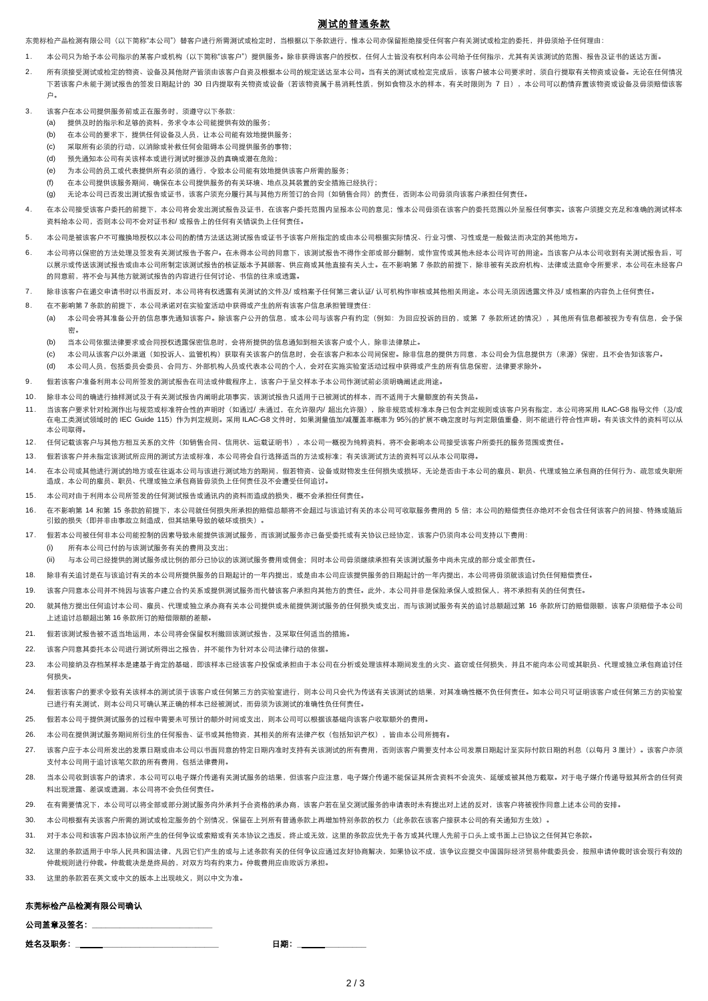## 测试的普通条款

东莞标检产品检测有限公司(以下简称"本公司")替客户进行所需测试或检定时,当根据以下条款进行,惟本公司亦保留拒绝接受任何客户有关测试或检定的委托,并毋须给予任何理由:

- 1. 本公司只为给予本公司指示的某客户或机构(以下简称"该客户")提供服务。除非获得该客户的授权,任何人士皆没有权利向本公司给予任何指示,尤其有关该测试的范围、报告及证书的送达方面。
- 2. 所有须接受测试或检查测试。<br>2. 所有须接受测试或检查测试,没有及其实实现在可以在实力的规定,这样的问题,它可以说明试试验完全。 下若该客户未能于测试报告的签发日期起计的 30 日内提取有关物资或设备(若该物资属于易消耗性质,例如食物及水的样本,有关时限则为 7 日),本公司可以酌情弃置该物资或设备及毋须赔偿该客 户。
- 3. 该客户在本公司提供服务前或正在服务时,须遵守以下条款:
	- (a) 提供及时的指示和足够的资料,务求令本公司能提供有效的服务;
	- (b) 在本公司的要求下,提供任何设备及人员,让本公司能有效地提供服务;
	- (c) 采取所有必须的行动,以消除或补救任何会阻碍本公司提供服务的事物;
	- (d) 预先通知本公司有关该样本或进行测试时据涉及的真确或潜在危险;
	- (e) 为本公司的员工或代表提供所有必须的通行,令致本公司能有效地提供该客户所需的服务;
	- (f) 在本公司提供该服务期间,确保在本公司提供服务的有关环境、地点及其装臵的安全措施已经执行;
	- (g) 无论本公司已否发出测试报告或证书,该客户须充分履行其与其他方所签订的合同(如销售合同)的责任,否则本公司毋须向该客户承担任何责任。
- 4. 在本公司接受该客户委托的前提下,本公司将会发出测试报告及证书,在该客户委托范围内呈报本公司的意见;惟本公司毋须在该客户的委托范围以外呈报任何事实。该客户须提交充足和准确的测试样本 资料给本公司,否则本公司不会对证书和/ 或报告上的任何有关错误负上任何责任。
- 5. 本公司是被该客户不可撤换地授权以本公司的酌情方法送达测试报告或证书予该客户所指定的或由本公司根据实际情况、行业习惯、习性或是一般做法而决定的其他地方。
- 6. 本公司将以保密的方法处理及签发有关测试报告予客户。在未得本公司的同意下,该测试报告不得作全部或部分翻制,或作宣传或其他未经本公司许可的用途。当该客户从本公司收到有关测试报告后,可 以展示或传送资测试将告的成证标告的核证版本予其顾客、供应商或其他直接有关人十。在不影响第 7 条款的前提下,除非被有关政府机构、法律或法庭命令所要求,本公司在未经客户 的同意前,将不会与其他方就测试报告的内容进行任何讨论、书信的往来或透露。
- 7. 除非该客户在递交申请书时以书面反对,本公司将有权透露有关测试的文件及/ 或档案予任何第三者认证/ 认可机构作审核或其他相关用途。本公司无须因透露文件及/ 或档案的内容负上任何责任。
- 8. 在不影响第 7 条款的前提下,本公司承诺对在实验室活动中获得或产生的所有该客户信息承担管理责任:
	- (a) 本公司会将其准备公开的信息事先通知该客户。除该客户公开的信息,或本公司与该客户有约定(例如:为回应投诉的目的,或第 7 条款所述的情况),其他所有信息都被视为专有信息,会予保 密。
		- (b) 当本公司依据法律要求或合同授权透露保密信息时,会将所提供的信息通知到相关该客户或个人,除非法律禁止。
		- (c) 本公司从该客户以外渠道(如投诉人、监管机构)获取有关该客户的信息时,会在该客户和本公司间保密。除非信息的提供方同意,本公司会为信息提供方(来源)保密,且不会告知该客户。
		- (d) 本公司人员,包括委员会委员、合同方、外部机构人员或代表本公司的个人,会对在实施实验室活动过程中获得或产生的所有信息保密,法律要求除外。
- 9. 假若该客户准备利用本公司所签发的测试报告在司法或仲裁程序上,该客户于呈交样本予本公司作测试前必须明确阐述此用途。
- 10. 除非本公司的确进行抽样测试及于有关测试报告内阐明此项事实,该测试报告只适用于已被测试的样本,而不适用于大量额度的有关货品。
- 11. 当该客户要求针对检测作出与规范或标准符合性的声明时(如通过/ 未通过,在允许限内/ 超出允许限),除非规范或标准本身已包含判定规则或该客户另有指定,本公司将采用 ILAC-G8 指导文件(及/或 在电工类测试领域时的 IEC Guide 115)作为判定规则。采用 ILAC-G8 文件时,如果测量值加/减覆盖率概率为 95%的扩展不确定度时与判定限值重叠,则不能进行符合性声明。有关该文件的资料可以从 本公司取得。
- 12. 任何记载该客户与其他方相互关系的文件(如销售合同、信用状、运载证明书),本公司一概视为纯粹资料,将不会影响本公司接受该客户所委托的服务范围或责任。
- 13. 假若该客户并未指定该测试所应用的测试方法或标准,本公司将会自行选择适当的方法或标准;有关该测试方法的资料可以从本公司取得。
- 14. 在本公司或其他进行测试的地方或在往返本公司与该进行测试地方的期间,假若物资、设备或财物发生任何损失或损坏,无论是否由于本公司的雇员、职员、代理或独立承包商的任何行为、疏忽或失职所 造成,本公司的雇员、职员、代理或独立承包商皆毋须负上任何责任及不会遭受任何追讨。
- 15. 本公司对由于利用本公司所签发的任何测试报告或通讯内的资料而造成的损失,概不会承担任何责任。
- 16. 在不影响第 14 和第 15 条款的前提下,本公司就任何损失所承担的赔偿总额将不会超过与该追讨有关的本公司可收取服务费用的 5 倍;本公司的赔偿责任亦绝对不会包含任何该客户的间接、特殊或随后 引致的损失(即并非由事故立刻造成,但其结果导致的破坏或损失)。
- 17. 假若本公司被任何非本公司能控制的因素导致未能提供该测试服务,而该测试服务亦已备受委托或有关协议已经协定,该客户仍须向本公司支持以下费用: (i) 所有本公司已付的与该测试服务有关的费用及支出;
	- (ii) 与本公司已经提供的测试服务成比例的部分已协议的该测试服务费用或佣金;同时本公司毋须继续承担有关该测试服务中尚未完成的部分或全部责任。
- 18. 除非有关追认是在与该追讨有关的本公司所提供服务的日期起计的一年内提出,或是由本公司应该提供服务的日期起计的一年内提出,本公司将毋须就该追讨负任何赔偿责任。
- 19. 该客户同意本公司并不纯因与该客户建立合约关系或提供测试服务而代替该客户承担向其他方的责任。此外,本公司并非是保险承保人或担保人,将不承担有关的任何责任。
- 20. 就其他方提出任何追讨本公司、雇员、代理或独立承办商有关本公司提供或未能提供测试服务的任何损失或支出,而与该测试服务有关的追讨总额超过第 16 条款所订的赔偿限额,该客户须赔偿予本公司 上述追讨总额超出第 16 条款所订的赔偿限额的差额。
- 21. 假若该测试报告被不适当地运用,本公司将会保留权利撤回该测试报告,及采取任何适当的措施。
- 22. 该客户同意其委托本公司进行测试所得出之报告,并不能作为针对本公司法律行动的依据。
- 23. 本公司接纳及存档某样本是建基于肯定的基础,即该样本已经该客户投保或承担由于本公司在分析或处理该样本期间发生的火灾、盗窃或任何损失,并且不能向本公司或其职员、代理或独立承包商追讨任 何损失。
- 24. 假若该客户的要求令致有关该样本的测试须于该客户或任何第三方的实验室进行,则本公司只会代为传送有关该测试的结果,对其准确性概不负任何责任。如本公司只可证明该客户或任何第三方的实验室 已进行有关测试,则本公司只可确认某正确的样本已经被测试,而毋须为该测试的准确性负任何责任。
- 25. 假若本公司于提供测试服务的过程中需要未可预计的额外时间或支出,则本公司可以根据该基础向该客户收取额外的费用。
- 26. 本公司在提供测试服务期间所衍生的任何报告、证书或其他物资,其相关的所有法律产权(包括知识产权),皆由本公司所拥有。
- 27. 该客户应于本公司所发出的发票日期或由本公司以书面同意的特定日期内准时支持有关该测试的所有费用,否则该客户需要支付本公司发票日期起计至实际付款日期的利息(以每月 3 厘计)。该客户亦须 支付本公司用于追讨该笔欠款的所有费用,包括法律费用。
- 28. 当本公司收到该客户的请求,本公司可以电子媒介传递有关测试服务的结果,但该客户应注意,电子媒介传递不能保证其所含资料不会流失、延缓或被其他方截取。对于电子媒介传递导致其所含的任何资 料出现泄露、差误或遗漏,本公司将不会负任何责任。
- 29. 在有需要情况下,本公司可以将全部或部分测试服务向外承判予合资格的承办商,该客户若在呈交测试服务的申请表时未有提出对上述的反对,该客户将被视作同意上述本公司的安排。
- 30. 本公司根据有关该客户所需的测试或检定服务的个别情况,保留在上列所有普通条款上再增加特别条款的权力(此条款在该客户接获本公司的有关通知方生效)
- 31. 对于本公司和该客户因本协议所产生的任何争议或索赔或有关本协议之违反,终止或无效,这里的条款应优先于各方或其代理人先前于口头上或书面上已协议之任何其它条款。
- 32. 这里的条款适用于中华人民共和国法律,凡因它们产生的或与上述条款有关的任何争议应通过友好协商解决,如果协议不成,该争议应提交中国国际经济贸易仲裁委员会,按照申请仲裁时该会现行有效的 仲裁规则进行仲裁。仲裁裁决是是终局的,对双方均有约束力。仲裁费用应由败诉方承担。
- 33. 这里的条款若在英文或中文的版本上出现歧义,则以中文为准。

## 东莞标检产品检测有限公司确认

| 公司盖章及签名: |    |
|----------|----|
| 姓名及职务:   | 日期 |